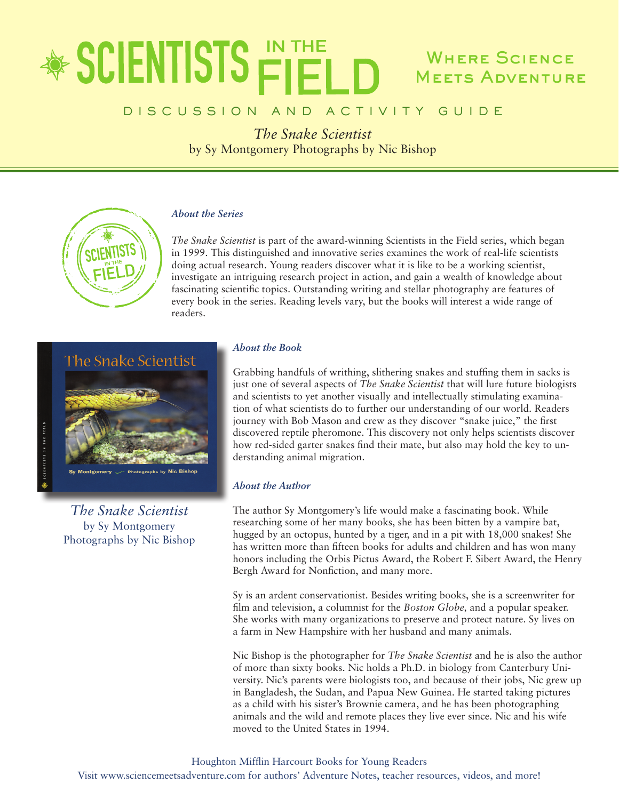# \* SCIENTISTS FIEL Where Science **MEETS ADVENTURE**

# D I S C U S S I O N A N D A C T I V I T Y G U I D E

*The Snake Scientist* by Sy Montgomery Photographs by Nic Bishop

## *About the Series*

*The Snake Scientist* is part of the award-winning Scientists in the Field series, which began in 1999. This distinguished and innovative series examines the work of real-life scientists doing actual research. Young readers discover what it is like to be a working scientist, investigate an intriguing research project in action, and gain a wealth of knowledge about fascinating scientific topics. Outstanding writing and stellar photography are features of every book in the series. Reading levels vary, but the books will interest a wide range of readers.



*The Snake Scientist* by Sy Montgomery Photographs by Nic Bishop

### *About the Book*

Grabbing handfuls of writhing, slithering snakes and stuffing them in sacks is just one of several aspects of *The Snake Scientist* that will lure future biologists and scientists to yet another visually and intellectually stimulating examination of what scientists do to further our understanding of our world. Readers journey with Bob Mason and crew as they discover "snake juice," the first discovered reptile pheromone. This discovery not only helps scientists discover how red-sided garter snakes find their mate, but also may hold the key to understanding animal migration.

### *About the Author*

The author Sy Montgomery's life would make a fascinating book. While researching some of her many books, she has been bitten by a vampire bat, hugged by an octopus, hunted by a tiger, and in a pit with 18,000 snakes! She has written more than fifteen books for adults and children and has won many honors including the Orbis Pictus Award, the Robert F. Sibert Award, the Henry Bergh Award for Nonfiction, and many more.

Sy is an ardent conservationist. Besides writing books, she is a screenwriter for film and television, a columnist for the *Boston Globe,* and a popular speaker. She works with many organizations to preserve and protect nature. Sy lives on a farm in New Hampshire with her husband and many animals.

Nic Bishop is the photographer for *The Snake Scientist* and he is also the author of more than sixty books. Nic holds a Ph.D. in biology from Canterbury University. Nic's parents were biologists too, and because of their jobs, Nic grew up in Bangladesh, the Sudan, and Papua New Guinea. He started taking pictures as a child with his sister's Brownie camera, and he has been photographing animals and the wild and remote places they live ever since. Nic and his wife moved to the United States in 1994.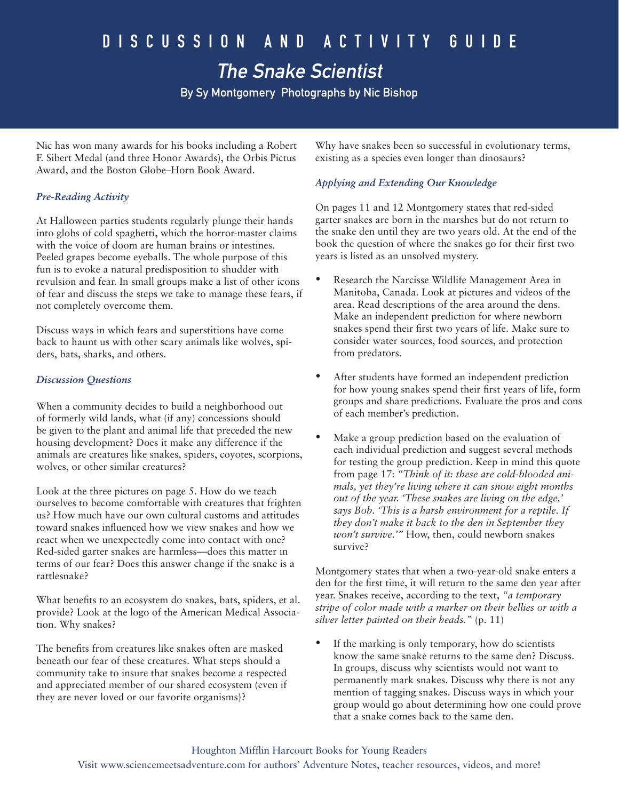# The Snake Scientist

By Sy Montgomery Photographs by Nic Bishop

Nic has won many awards for his books including a Robert F. Sibert Medal (and three Honor Awards), the Orbis Pictus Award, and the Boston Globe–Horn Book Award.

# *Pre-Reading Activity*

At Halloween parties students regularly plunge their hands into globs of cold spaghetti, which the horror-master claims with the voice of doom are human brains or intestines. Peeled grapes become eyeballs. The whole purpose of this fun is to evoke a natural predisposition to shudder with revulsion and fear. In small groups make a list of other icons of fear and discuss the steps we take to manage these fears, if not completely overcome them.

Discuss ways in which fears and superstitions have come back to haunt us with other scary animals like wolves, spiders, bats, sharks, and others.

### *Discussion Questions*

When a community decides to build a neighborhood out of formerly wild lands, what (if any) concessions should be given to the plant and animal life that preceded the new housing development? Does it make any difference if the animals are creatures like snakes, spiders, coyotes, scorpions, wolves, or other similar creatures?

Look at the three pictures on page 5. How do we teach ourselves to become comfortable with creatures that frighten us? How much have our own cultural customs and attitudes toward snakes influenced how we view snakes and how we react when we unexpectedly come into contact with one? Red-sided garter snakes are harmless—does this matter in terms of our fear? Does this answer change if the snake is a rattlesnake?

What benefits to an ecosystem do snakes, bats, spiders, et al. provide? Look at the logo of the American Medical Association. Why snakes?

The benefits from creatures like snakes often are masked beneath our fear of these creatures. What steps should a community take to insure that snakes become a respected and appreciated member of our shared ecosystem (even if they are never loved or our favorite organisms)?

Why have snakes been so successful in evolutionary terms, existing as a species even longer than dinosaurs?

# *Applying and Extending Our Knowledge*

On pages 11 and 12 Montgomery states that red-sided garter snakes are born in the marshes but do not return to the snake den until they are two years old. At the end of the book the question of where the snakes go for their first two years is listed as an unsolved mystery.

- Research the Narcisse Wildlife Management Area in Manitoba, Canada. Look at pictures and videos of the area. Read descriptions of the area around the dens. Make an independent prediction for where newborn snakes spend their first two years of life. Make sure to consider water sources, food sources, and protection from predators.
- After students have formed an independent prediction for how young snakes spend their first years of life, form groups and share predictions. Evaluate the pros and cons of each member's prediction.
- Make a group prediction based on the evaluation of each individual prediction and suggest several methods for testing the group prediction. Keep in mind this quote from page 17: *"Think of it: these are cold-blooded animals, yet they're living where it can snow eight months out of the year. 'These snakes are living on the edge,' says Bob. 'This is a harsh environment for a reptile. If they don't make it back to the den in September they won't survive.'"* How, then, could newborn snakes survive?

Montgomery states that when a two-year-old snake enters a den for the first time, it will return to the same den year after year. Snakes receive, according to the text, *"a temporary stripe of color made with a marker on their bellies or with a silver letter painted on their heads."* (p. 11)

If the marking is only temporary, how do scientists know the same snake returns to the same den? Discuss. In groups, discuss why scientists would not want to permanently mark snakes. Discuss why there is not any mention of tagging snakes. Discuss ways in which your group would go about determining how one could prove that a snake comes back to the same den.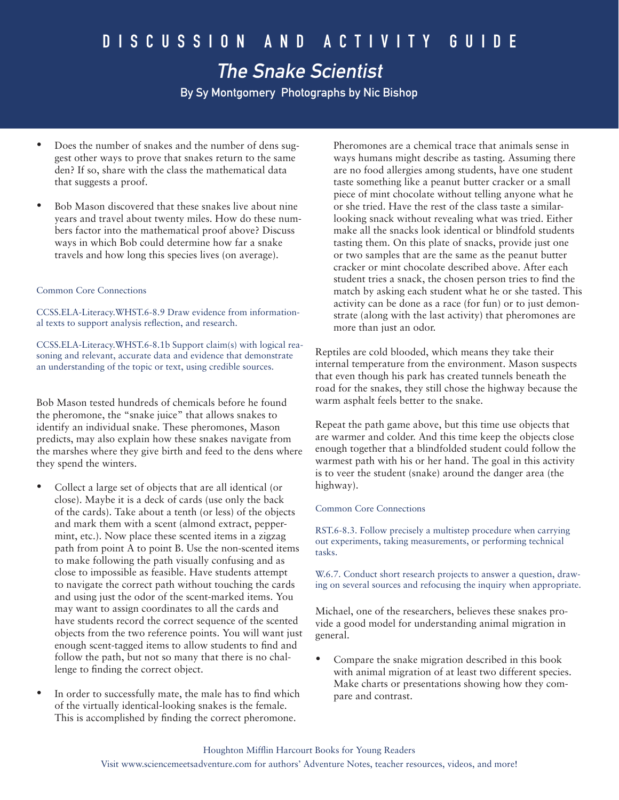By Sy Montgomery Photographs by Nic Bishop

- Does the number of snakes and the number of dens suggest other ways to prove that snakes return to the same den? If so, share with the class the mathematical data that suggests a proof.
- Bob Mason discovered that these snakes live about nine years and travel about twenty miles. How do these numbers factor into the mathematical proof above? Discuss ways in which Bob could determine how far a snake travels and how long this species lives (on average).

#### Common Core Connections

CCSS.ELA-Literacy.WHST.6-8.9 Draw evidence from informational texts to support analysis reflection, and research.

CCSS.ELA-Literacy.WHST.6-8.1b Support claim(s) with logical reasoning and relevant, accurate data and evidence that demonstrate an understanding of the topic or text, using credible sources.

Bob Mason tested hundreds of chemicals before he found the pheromone, the "snake juice" that allows snakes to identify an individual snake. These pheromones, Mason predicts, may also explain how these snakes navigate from the marshes where they give birth and feed to the dens where they spend the winters.

- Collect a large set of objects that are all identical (or close). Maybe it is a deck of cards (use only the back of the cards). Take about a tenth (or less) of the objects and mark them with a scent (almond extract, peppermint, etc.). Now place these scented items in a zigzag path from point A to point B. Use the non-scented items to make following the path visually confusing and as close to impossible as feasible. Have students attempt to navigate the correct path without touching the cards and using just the odor of the scent-marked items. You may want to assign coordinates to all the cards and have students record the correct sequence of the scented objects from the two reference points. You will want just enough scent-tagged items to allow students to find and follow the path, but not so many that there is no challenge to finding the correct object.
- In order to successfully mate, the male has to find which of the virtually identical-looking snakes is the female. This is accomplished by finding the correct pheromone.

Pheromones are a chemical trace that animals sense in ways humans might describe as tasting. Assuming there are no food allergies among students, have one student taste something like a peanut butter cracker or a small piece of mint chocolate without telling anyone what he or she tried. Have the rest of the class taste a similarlooking snack without revealing what was tried. Either make all the snacks look identical or blindfold students tasting them. On this plate of snacks, provide just one or two samples that are the same as the peanut butter cracker or mint chocolate described above. After each student tries a snack, the chosen person tries to find the match by asking each student what he or she tasted. This activity can be done as a race (for fun) or to just demonstrate (along with the last activity) that pheromones are more than just an odor.

Reptiles are cold blooded, which means they take their internal temperature from the environment. Mason suspects that even though his park has created tunnels beneath the road for the snakes, they still chose the highway because the warm asphalt feels better to the snake.

Repeat the path game above, but this time use objects that are warmer and colder. And this time keep the objects close enough together that a blindfolded student could follow the warmest path with his or her hand. The goal in this activity is to veer the student (snake) around the danger area (the highway).

#### Common Core Connections

RST.6-8.3. Follow precisely a multistep procedure when carrying out experiments, taking measurements, or performing technical tasks.

W.6.7. Conduct short research projects to answer a question, drawing on several sources and refocusing the inquiry when appropriate.

Michael, one of the researchers, believes these snakes provide a good model for understanding animal migration in general.

• Compare the snake migration described in this book with animal migration of at least two different species. Make charts or presentations showing how they compare and contrast.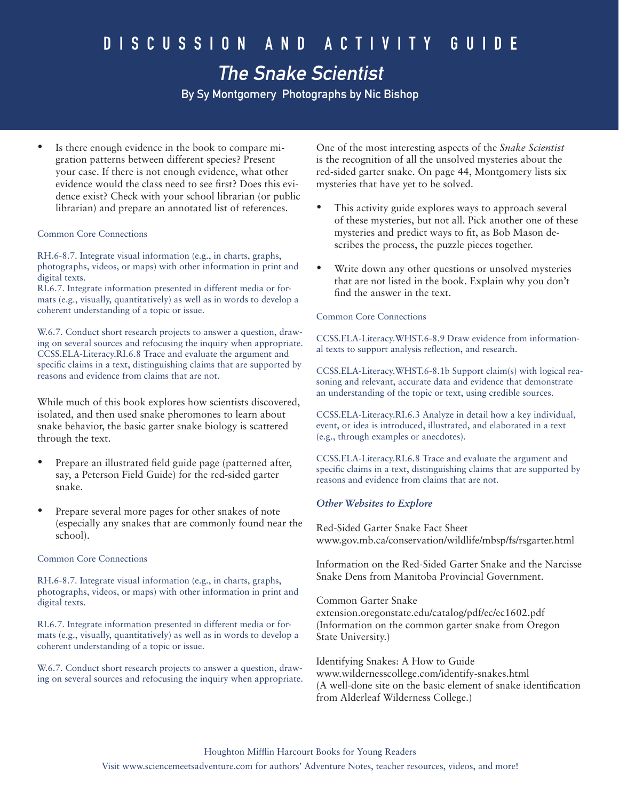# The Snake Scientist

By Sy Montgomery Photographs by Nic Bishop

Is there enough evidence in the book to compare migration patterns between different species? Present your case. If there is not enough evidence, what other evidence would the class need to see first? Does this evidence exist? Check with your school librarian (or public librarian) and prepare an annotated list of references.

#### Common Core Connections

RH.6-8.7. Integrate visual information (e.g., in charts, graphs, photographs, videos, or maps) with other information in print and digital texts.

RI.6.7. Integrate information presented in different media or formats (e.g., visually, quantitatively) as well as in words to develop a coherent understanding of a topic or issue.

W.6.7. Conduct short research projects to answer a question, drawing on several sources and refocusing the inquiry when appropriate. CCSS.ELA-Literacy.RI.6.8 Trace and evaluate the argument and specific claims in a text, distinguishing claims that are supported by reasons and evidence from claims that are not.

While much of this book explores how scientists discovered, isolated, and then used snake pheromones to learn about snake behavior, the basic garter snake biology is scattered through the text.

- Prepare an illustrated field guide page (patterned after, say, a Peterson Field Guide) for the red-sided garter snake.
- Prepare several more pages for other snakes of note (especially any snakes that are commonly found near the school).

#### Common Core Connections

RH.6-8.7. Integrate visual information (e.g., in charts, graphs, photographs, videos, or maps) with other information in print and digital texts.

RI.6.7. Integrate information presented in different media or formats (e.g., visually, quantitatively) as well as in words to develop a coherent understanding of a topic or issue.

W.6.7. Conduct short research projects to answer a question, drawing on several sources and refocusing the inquiry when appropriate. One of the most interesting aspects of the *Snake Scientist*  is the recognition of all the unsolved mysteries about the red-sided garter snake. On page 44, Montgomery lists six mysteries that have yet to be solved.

- This activity guide explores ways to approach several of these mysteries, but not all. Pick another one of these mysteries and predict ways to fit, as Bob Mason describes the process, the puzzle pieces together.
- Write down any other questions or unsolved mysteries that are not listed in the book. Explain why you don't find the answer in the text.

#### Common Core Connections

CCSS.ELA-Literacy.WHST.6-8.9 Draw evidence from informational texts to support analysis reflection, and research.

CCSS.ELA-Literacy.WHST.6-8.1b Support claim(s) with logical reasoning and relevant, accurate data and evidence that demonstrate an understanding of the topic or text, using credible sources.

CCSS.ELA-Literacy.RI.6.3 Analyze in detail how a key individual, event, or idea is introduced, illustrated, and elaborated in a text (e.g., through examples or anecdotes).

CCSS.ELA-Literacy.RI.6.8 Trace and evaluate the argument and specific claims in a text, distinguishing claims that are supported by reasons and evidence from claims that are not.

### *Other Websites to Explore*

Red-Sided Garter Snake Fact Sheet www.gov.mb.ca/conservation/wildlife/mbsp/fs/rsgarter.html

Information on the Red-Sided Garter Snake and the Narcisse Snake Dens from Manitoba Provincial Government.

Common Garter Snake extension.oregonstate.edu/catalog/pdf/ec/ec1602.pdf (Information on the common garter snake from Oregon State University.)

Identifying Snakes: A How to Guide www.wildernesscollege.com/identify-snakes.html (A well-done site on the basic element of snake identification from Alderleaf Wilderness College.)